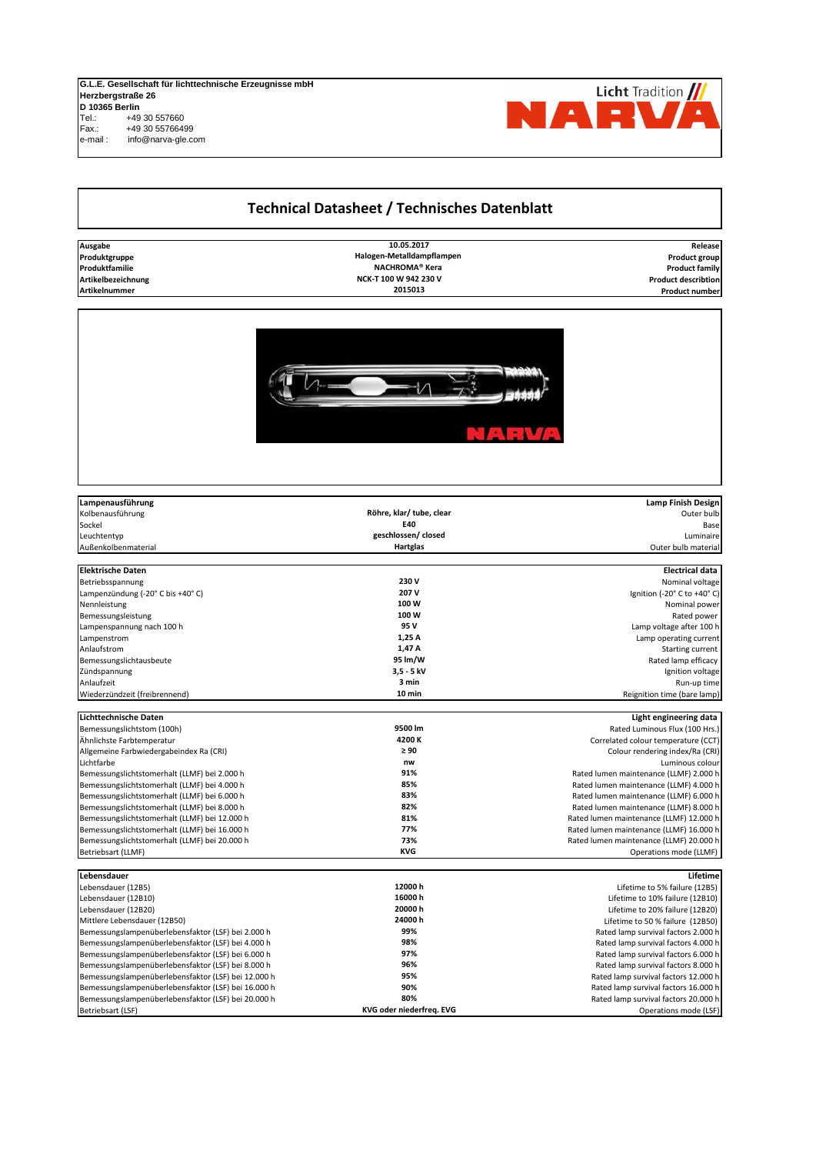## **G.L.E. Gesellschaft für lichttechnische Erzeugnisse mbH Herzbergstraße 26 D 10365 Berlin** Tel.: +49 30 557660<br>Fax.: +49 30 5576649 Fax.: +49 30 55766499 e-mail : info@narva-gle.com

## **Technical Datasheet / Technisches Datenblatt**

**10.05.2017 NACHROMA® Kera 2015013**



| Lampenausführung                                    |                          | <b>Lamp Finish Design</b>                    |
|-----------------------------------------------------|--------------------------|----------------------------------------------|
| Kolbenausführung                                    | Röhre, klar/ tube, clear | Outer bulb                                   |
| Sockel                                              | E40                      | Base                                         |
| Leuchtentyp                                         | geschlossen/ closed      | Luminaire                                    |
| Außenkolbenmaterial                                 | Hartglas                 | Outer bulb material                          |
| <b>Elektrische Daten</b>                            |                          | <b>Electrical data</b>                       |
|                                                     | 230V                     | Nominal voltage                              |
| Betriebsspannung                                    | 207 V                    |                                              |
| Lampenzündung (-20° C bis +40° C)<br>Nennleistung   | 100W                     | Ignition (-20° C to +40° C)<br>Nominal power |
|                                                     | 100W                     |                                              |
| Bemessungsleistung                                  | 95 V                     | Rated power<br>Lamp voltage after 100 h      |
| Lampenspannung nach 100 h                           | 1,25 A                   |                                              |
| Lampenstrom<br>Anlaufstrom                          | 1,47 A                   | Lamp operating current                       |
|                                                     | 95 lm/W                  | Starting current                             |
| Bemessungslichtausbeute                             | $3,5 - 5$ kV             | Rated lamp efficacy                          |
| Zündspannung                                        | 3 min                    | Ignition voltage                             |
| Anlaufzeit                                          | 10 min                   | Run-up time                                  |
| Wiederzündzeit (freibrennend)                       |                          | Reignition time (bare lamp)                  |
| Lichttechnische Daten                               |                          | Light engineering data                       |
| Bemessungslichtstom (100h)                          | 9500 lm                  | Rated Luminous Flux (100 Hrs.)               |
| Ähnlichste Farbtemperatur                           | 4200 K                   | Correlated colour temperature (CCT)          |
| Allgemeine Farbwiedergabeindex Ra (CRI)             | $\geq 90$                | Colour rendering index/Ra (CRI)              |
| Lichtfarbe                                          | nw                       | Luminous colour                              |
| Bemessungslichtstomerhalt (LLMF) bei 2.000 h        | 91%                      | Rated lumen maintenance (LLMF) 2.000 h       |
| Bemessungslichtstomerhalt (LLMF) bei 4.000 h        | 85%                      | Rated lumen maintenance (LLMF) 4.000 h       |
| Bemessungslichtstomerhalt (LLMF) bei 6.000 h        | 83%                      | Rated lumen maintenance (LLMF) 6.000 h       |
| Bemessungslichtstomerhalt (LLMF) bei 8.000 h        | 82%                      | Rated lumen maintenance (LLMF) 8.000 h       |
| Bemessungslichtstomerhalt (LLMF) bei 12.000 h       | 81%                      | Rated lumen maintenance (LLMF) 12.000 h      |
| Bemessungslichtstomerhalt (LLMF) bei 16.000 h       | 77%                      | Rated lumen maintenance (LLMF) 16.000 h      |
| Bemessungslichtstomerhalt (LLMF) bei 20.000 h       | 73%                      | Rated lumen maintenance (LLMF) 20.000 h      |
| Betriebsart (LLMF)                                  | <b>KVG</b>               | Operations mode (LLMF)                       |
|                                                     |                          |                                              |
| Lebensdauer                                         |                          | Lifetime                                     |
| Lebensdauer (12B5)                                  | 12000 h                  | Lifetime to 5% failure (12B5)                |
| Lebensdauer (12B10)                                 | 16000h                   | Lifetime to 10% failure (12B10)              |
| Lebensdauer (12B20)                                 | 20000 h                  | Lifetime to 20% failure (12B20)              |
| Mittlere Lebensdauer (12B50)                        | 24000h                   | Lifetime to 50 % failure (12B50)             |
| Bemessungslampenüberlebensfaktor (LSF) bei 2.000 h  | 99%                      | Rated lamp survival factors 2.000 h          |
| Bemessungslampenüberlebensfaktor (LSF) bei 4.000 h  | 98%                      | Rated lamp survival factors 4.000 h          |
| Bemessungslampenüberlebensfaktor (LSF) bei 6.000 h  | 97%                      | Rated lamp survival factors 6.000 h          |
| Bemessungslampenüberlebensfaktor (LSF) bei 8.000 h  | 96%                      | Rated lamp survival factors 8.000 h          |
| Bemessungslampenüberlebensfaktor (LSF) bei 12.000 h | 95%                      | Rated lamp survival factors 12.000 h         |
| Bemessungslampenüberlebensfaktor (LSF) bei 16.000 h | 90%                      | Rated lamp survival factors 16.000 h         |
| Bemessungslampenüberlebensfaktor (LSF) bei 20.000 h | 80%                      | Rated lamp survival factors 20.000 h         |
| Betriebsart (LSF)                                   | KVG oder niederfreq. EVG | Operations mode (LSF)                        |